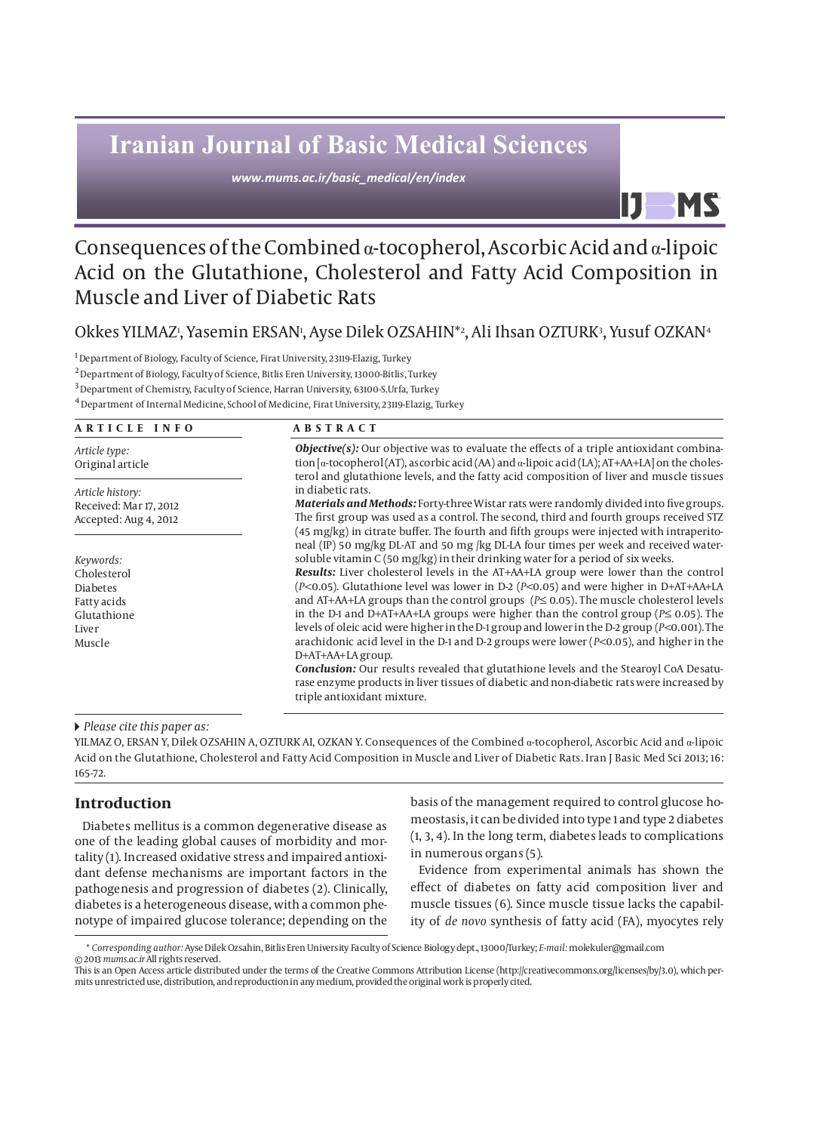# **Iranian Journal of Basic Medical Sciences**

*www.mums.ac.ir/basic\_medical/en/index*

## Consequences of the Combined α-tocopherol, Ascorbic Acid and α-lipoic Acid on the Glutathione, Cholesterol and Fatty Acid Composition in Muscle and Liver of Diabetic Rats

Okkes YILMAZı, Yasemin ERSANı, Ayse Dilek OZSAHIN\*2, Ali Ihsan OZTURK3, Yusuf OZKAN4

1 Department of Biology, Faculty of Science, Firat University, 23119-Elazig, Turkey

2 Department of Biology, Faculty of Science, Bitlis Eren University, 13000-Bitlis, Turkey

3 Department of Chemistry, Faculty of Science, Harran University, 63100-S.Urfa, Turkey

4 Department of Internal Medicine, School of Medicine, Firat University, 23119-Elazig, Turkey

## **ARTICLE INFO ABSTRACT**

*Objective(s):* Our objective was to evaluate the effects of a triple antioxidant combination [α-tocopherol (AT), ascorbic acid (AA) and α-lipoic acid (LA); AT+AA+LA] on the cholesterol and glutathione levels, and the fatty acid composition of liver and muscle tissues in diabetic rats.

IJ

**MS** 

*Materials and Methods:* Forty-three Wistar rats were randomly divided into five groups. The first group was used as a control. The second, third and fourth groups received STZ (45 mg/kg) in citrate buffer. The fourth and fifth groups were injected with intraperitoneal (IP) 50 mg/kg DL-AT and 50 mg /kg DL-LA four times per week and received watersoluble vitamin  $C(50 \text{ mg/kg})$  in their drinking water for a period of six weeks.

*Results:* Liver cholesterol levels in the AT+AA+LA group were lower than the control (*P<*0.05). Glutathione level was lower in D-2 (*P<*0.05) and were higher in D+AT+AA+LA and AT+AA+LA groups than the control groups (*P≤* 0.05). The muscle cholesterol levels in the D-1 and D+AT+AA+LA groups were higher than the control group (*P≤* 0.05). The levels of oleic acid were higher in the D-1 group and lower in the D-2 group (*P<*0.001). The arachidonic acid level in the D-1 and D-2 groups were lower (*P<*0.05), and higher in the D+AT+AA+LA group.

*Conclusion:* Our results revealed that glutathione levels and the Stearoyl CoA Desaturase enzyme products in liver tissues of diabetic and non-diabetic rats were increased by triple antioxidant mixture.

#### *Please cite this paper as:*

YILMAZ O, ERSAN Y, Dilek OZSAHIN A, OZTURK AI, OZKAN Y. Consequences of the Combined α-tocopherol, Ascorbic Acid and α-lipoic Acid on the Glutathione, Cholesterol and Fatty Acid Composition in Muscle and Liver of Diabetic Rats. Iran J Basic Med Sci 2013; 16: 165-72.

## **Introduction**

Diabetes mellitus is a common degenerative disease as one of the leading global causes of morbidity and mortality (1). Increased oxidative stress and impaired antioxidant defense mechanisms are important factors in the pathogenesis and progression of diabetes (2). Clinically, diabetes is a heterogeneous disease, with a common phenotype of impaired glucose tolerance; depending on the basis of the management required to control glucose homeostasis, it can be divided into type 1 and type 2 diabetes (1, 3, 4). In the long term, diabetes leads to complications in numerous organs (5).

Evidence from experimental animals has shown the effect of diabetes on fatty acid composition liver and muscle tissues (6). Since muscle tissue lacks the capability of *de novo* synthesis of fatty acid (FA), myocytes rely

*Article type:* Original article

*Article history:* Received: Mar 17, 2012 Accepted: Aug 4, 2012

*Keywords:* Cholesterol Diabetes Fatty acids Glutathione **Liver** Muscle

<sup>\*</sup> *Corresponding author:* Ayse Dilek Ozsahin, Bitlis Eren University Faculty of Science Biology dept., 13000/Turkey; *E-mail:* molekuler@gmail.com

<sup>© 2013</sup> *mums.ac.ir* All rights reserved. This is an Open Access article distributed under the terms of the Creative Commons Attribution License (http://creativecommons.org/licenses/by/3.0), which permits unrestricted use, distribution, and reproduction in any medium, provided the original work is properly cited.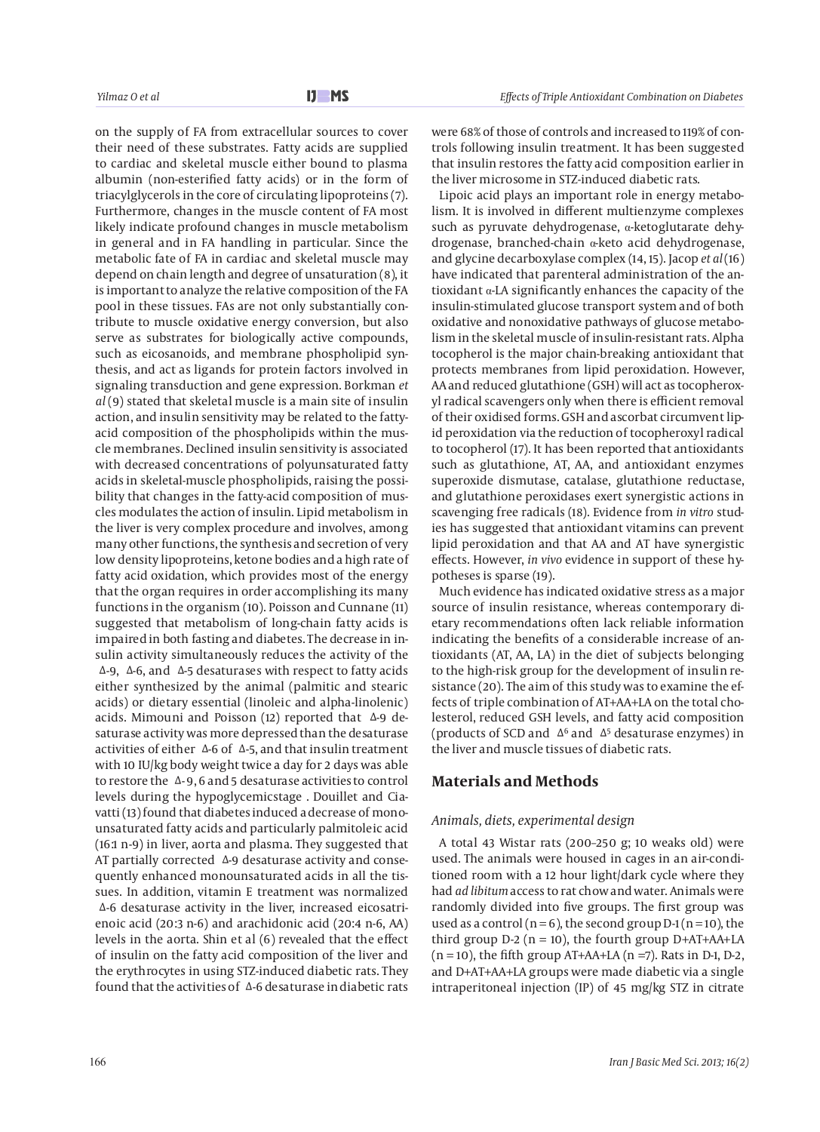on the supply of FA from extracellular sources to cover their need of these substrates. Fatty acids are supplied to cardiac and skeletal muscle either bound to plasma albumin (non-esterified fatty acids) or in the form of triacylglycerols in the core of circulating lipoproteins (7). Furthermore, changes in the muscle content of FA most likely indicate profound changes in muscle metabolism in general and in FA handling in particular. Since the metabolic fate of FA in cardiac and skeletal muscle may depend on chain length and degree of unsaturation (8), it is important to analyze the relative composition of the FA pool in these tissues. FAs are not only substantially contribute to muscle oxidative energy conversion, but also serve as substrates for biologically active compounds, such as eicosanoids, and membrane phospholipid synthesis, and act as ligands for protein factors involved in signaling transduction and gene expression. Borkman *et al* (9) stated that skeletal muscle is a main site of insulin action, and insulin sensitivity may be related to the fattyacid composition of the phospholipids within the muscle membranes. Declined insulin sensitivity is associated with decreased concentrations of polyunsaturated fatty acids in skeletal-muscle phospholipids, raising the possibility that changes in the fatty-acid composition of muscles modulates the action of insulin. Lipid metabolism in the liver is very complex procedure and involves, among many other functions, the synthesis and secretion of very low density lipoproteins, ketone bodies and a high rate of fatty acid oxidation, which provides most of the energy that the organ requires in order accomplishing its many functions in the organism (10). Poisson and Cunnane (11) suggested that metabolism of long-chain fatty acids is impaired in both fasting and diabetes. The decrease in insulin activity simultaneously reduces the activity of the Δ-9, Δ-6, and Δ-5 desaturases with respect to fatty acids either synthesized by the animal (palmitic and stearic acids) or dietary essential (linoleic and alpha-linolenic) acids. Mimouni and Poisson (12) reported that Δ-9 desaturase activity was more depressed than the desaturase activities of either  $Δ-6$  of  $Δ-5$ , and that insulin treatment with 10 IU/kg body weight twice a day for 2 days was able to restore the Δ- 9, 6 and 5 desaturase activities to control levels during the hypoglycemicstage . Douillet and Ciavatti (13) found that diabetes induced a decrease of monounsaturated fatty acids and particularly palmitoleic acid (16:1 n-9) in liver, aorta and plasma. They suggested that AT partially corrected Δ-9 desaturase activity and consequently enhanced monounsaturated acids in all the tissues. In addition, vitamin E treatment was normalized Δ-6 desaturase activity in the liver, increased eicosatrienoic acid (20:3 n-6) and arachidonic acid (20:4 n-6, AA) levels in the aorta. Shin et al (6) revealed that the effect of insulin on the fatty acid composition of the liver and the erythrocytes in using STZ-induced diabetic rats. They found that the activities of Δ-6 desaturase in diabetic rats

were 68% of those of controls and increased to 119% of controls following insulin treatment. It has been suggested that insulin restores the fatty acid composition earlier in the liver microsome in STZ-induced diabetic rats.

Lipoic acid plays an important role in energy metabolism. It is involved in different multienzyme complexes such as pyruvate dehydrogenase, α-ketoglutarate dehydrogenase, branched-chain α-keto acid dehydrogenase, and glycine decarboxylase complex (14, 15). Jacop *et al* (16) have indicated that parenteral administration of the antioxidant  $\alpha$ -LA significantly enhances the capacity of the insulin-stimulated glucose transport system and of both oxidative and nonoxidative pathways of glucose metabolism in the skeletal muscle of insulin-resistant rats. Alpha tocopherol is the major chain-breaking antioxidant that protects membranes from lipid peroxidation. However, AA and reduced glutathione (GSH) will act as tocopheroxyl radical scavengers only when there is efficient removal of their oxidised forms. GSH and ascorbat circumvent lipid peroxidation via the reduction of tocopheroxyl radical to tocopherol (17). It has been reported that antioxidants such as glutathione, AT, AA, and antioxidant enzymes superoxide dismutase, catalase, glutathione reductase, and glutathione peroxidases exert synergistic actions in scavenging free radicals (18). Evidence from *in vitro* studies has suggested that antioxidant vitamins can prevent lipid peroxidation and that AA and AT have synergistic effects. However, *in vivo* evidence in support of these hypotheses is sparse (19).

Much evidence has indicated oxidative stress as a major source of insulin resistance, whereas contemporary dietary recommendations often lack reliable information indicating the benefits of a considerable increase of antioxidants (AT, AA, LA) in the diet of subjects belonging to the high-risk group for the development of insulin resistance (20). The aim of this study was to examine the effects of triple combination of AT+AA+LA on the total cholesterol, reduced GSH levels, and fatty acid composition (products of SCD and  $\Delta^6$  and  $\Delta^5$  desaturase enzymes) in the liver and muscle tissues of diabetic rats.

## **Materials and Methods**

#### *Animals, diets, experimental design*

A total 43 Wistar rats (200–250 g; 10 weaks old) were used. The animals were housed in cages in an air-conditioned room with a 12 hour light/dark cycle where they had *ad libitum* access to rat chow and water. Animals were randomly divided into five groups. The first group was used as a control ( $n = 6$ ), the second group D-1 ( $n = 10$ ), the third group  $D-2$  (n = 10), the fourth group  $D+AT+AA+LA$  $(n = 10)$ , the fifth group AT+AA+LA  $(n = 7)$ . Rats in D-1, D-2, and D+AT+AA+LA groups were made diabetic via a single intraperitoneal injection (IP) of 45 mg/kg STZ in citrate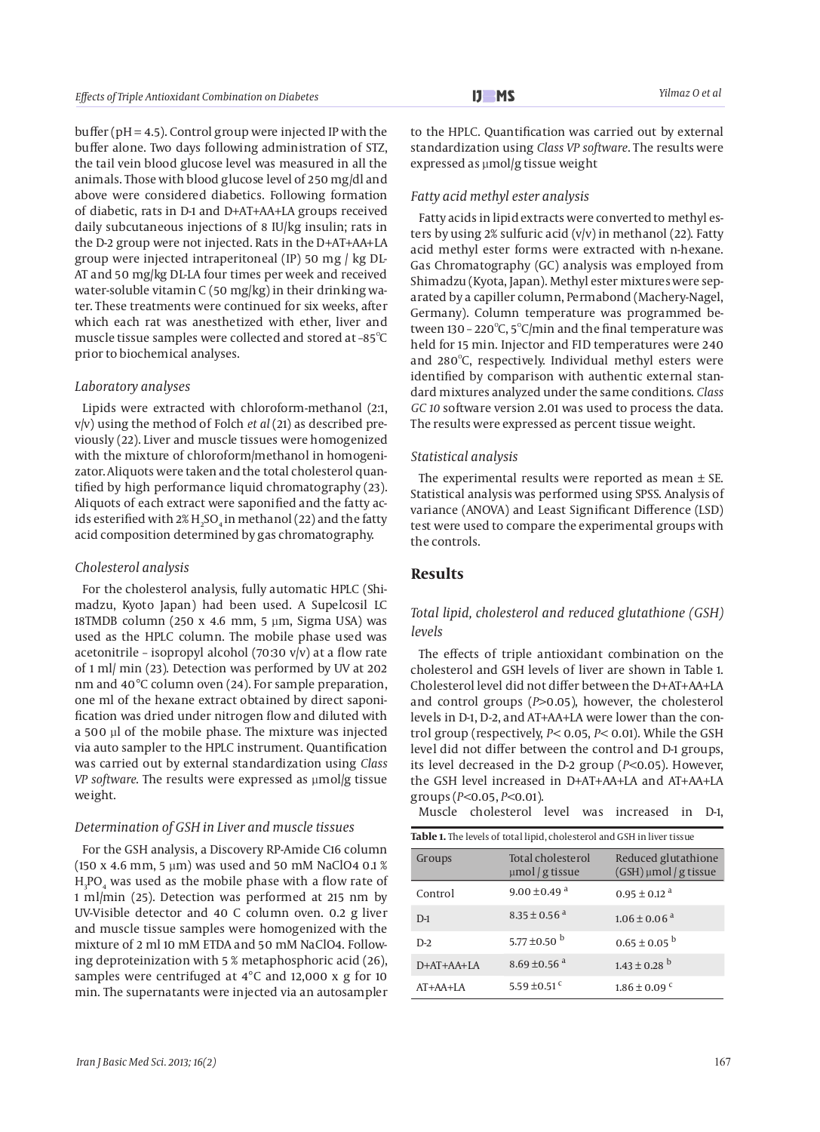buffer ( $pH = 4.5$ ). Control group were injected IP with the buffer alone. Two days following administration of STZ, the tail vein blood glucose level was measured in all the animals. Those with blood glucose level of 250 mg/dl and above were considered diabetics. Following formation of diabetic, rats in D-1 and D+AT+AA+LA groups received daily subcutaneous injections of 8 IU/kg insulin; rats in the D-2 group were not injected. Rats in the D+AT+AA+LA group were injected intraperitoneal (IP) 50 mg / kg DL-AT and 50 mg/kg DL-LA four times per week and received water-soluble vitamin C (50 mg/kg) in their drinking water. These treatments were continued for six weeks, after which each rat was anesthetized with ether, liver and muscle tissue samples were collected and stored at -85 $^{\circ}\textrm{C}$ prior to biochemical analyses.

#### *Laboratory analyses*

Lipids were extracted with chloroform-methanol (2:1, v/v) using the method of Folch *et al* (21) as described previously (22). Liver and muscle tissues were homogenized with the mixture of chloroform/methanol in homogenizator. Aliquots were taken and the total cholesterol quantified by high performance liquid chromatography (23). Aliquots of each extract were saponified and the fatty acids esterified with 2%  $\rm H_2SO_4$  in methanol (22) and the fatty acid composition determined by gas chromatography.

#### *Cholesterol analysis*

For the cholesterol analysis, fully automatic HPLC (Shimadzu, Kyoto Japan) had been used. A Supelcosil LC 18TMDB column (250 x 4.6 mm, 5 µm, Sigma USA) was used as the HPLC column. The mobile phase used was acetonitrile – isopropyl alcohol (70:30 v/v) at a flow rate of 1 ml/ min (23). Detection was performed by UV at 202 nm and 40°C column oven (24). For sample preparation, one ml of the hexane extract obtained by direct saponification was dried under nitrogen flow and diluted with a 500 µl of the mobile phase. The mixture was injected via auto sampler to the HPLC instrument. Quantification was carried out by external standardization using *Class VP software*. The results were expressed as µmol/g tissue weight.

#### *Determination of GSH in Liver and muscle tissues*

For the GSH analysis, a Discovery RP-Amide C16 column (150 x 4.6 mm, 5 µm) was used and 50 mM NaClO4 0.1 %  $\rm H_3PO_4$  was used as the mobile phase with a flow rate of 1 ml/min (25). Detection was performed at 215 nm by UV-Visible detector and 40 C column oven. 0.2 g liver and muscle tissue samples were homogenized with the mixture of 2 ml 10 mM ETDA and 50 mM NaClO4. Following deproteinization with 5 % metaphosphoric acid (26), samples were centrifuged at 4°C and 12,000 x g for 10 min. The supernatants were injected via an autosampler

to the HPLC. Quantification was carried out by external standardization using *Class VP software*. The results were expressed as µmol/g tissue weight

## *Fatty acid methyl ester analysis*

Fatty acids in lipid extracts were converted to methyl esters by using 2% sulfuric acid (v/v) in methanol (22). Fatty acid methyl ester forms were extracted with n-hexane. Gas Chromatography (GC) analysis was employed from Shimadzu (Kyota, Japan). Methyl ester mixtures were separated by a capiller column, Permabond (Machery-Nagel, Germany). Column temperature was programmed between 130 - 220 $\mathrm{C}$ , 5 $\mathrm{C}$ /min and the final temperature was held for 15 min. Injector and FID temperatures were 240 and  $280^{\circ}$ C, respectively. Individual methyl esters were identified by comparison with authentic external standard mixtures analyzed under the same conditions. *Class GC 10* software version 2.01 was used to process the data. The results were expressed as percent tissue weight.

#### *Statistical analysis*

The experimental results were reported as mean  $\pm$  SE. Statistical analysis was performed using SPSS. Analysis of variance (ANOVA) and Least Significant Difference (LSD) test were used to compare the experimental groups with the controls.

## **Results**

## *Total lipid, cholesterol and reduced glutathione (GSH) levels*

The effects of triple antioxidant combination on the cholesterol and GSH levels of liver are shown in Table 1. Cholesterol level did not differ between the D+AT+AA+LA and control groups (*P>*0.05), however, the cholesterol levels in D-1, D-2, and AT+AA+LA were lower than the control group (respectively, *P<* 0.05, *P<* 0.01). While the GSH level did not differ between the control and D-1 groups, its level decreased in the D-2 group (*P<*0.05). However, the GSH level increased in D+AT+AA+LA and AT+AA+LA groups (*P<*0.05, *P<*0.01).

Muscle cholesterol level was increased in D-1,

| Table 1. The levels of total lipid, cholesterol and GSH in liver tissue |                                           |                                              |  |  |  |
|-------------------------------------------------------------------------|-------------------------------------------|----------------------------------------------|--|--|--|
| Groups                                                                  | Total cholesterol<br>$\mu$ mol / g tissue | Reduced glutathione<br>(GSH) µmol / g tissue |  |  |  |
| Control                                                                 | 9.00 ± 0.49 $a$                           | $0.95 \pm 0.12$ <sup>a</sup>                 |  |  |  |
| $D-1$                                                                   | $8.35 \pm 0.56$ <sup>a</sup>              | $1.06 \pm 0.06$ <sup>a</sup>                 |  |  |  |
| $D-2$                                                                   | 5.77 ± 0.50 $^{\rm b}$                    | $0.65 \pm 0.05^{b}$                          |  |  |  |
| $D+AT+AA+LA$                                                            | 8.69 ± 0.56 $a$                           | $1.43 \pm 0.28$ <sup>b</sup>                 |  |  |  |
| $AT+AA+LA$                                                              | 5.59 ± 0.51 <sup>c</sup>                  | $1.86 \pm 0.09$ <sup>c</sup>                 |  |  |  |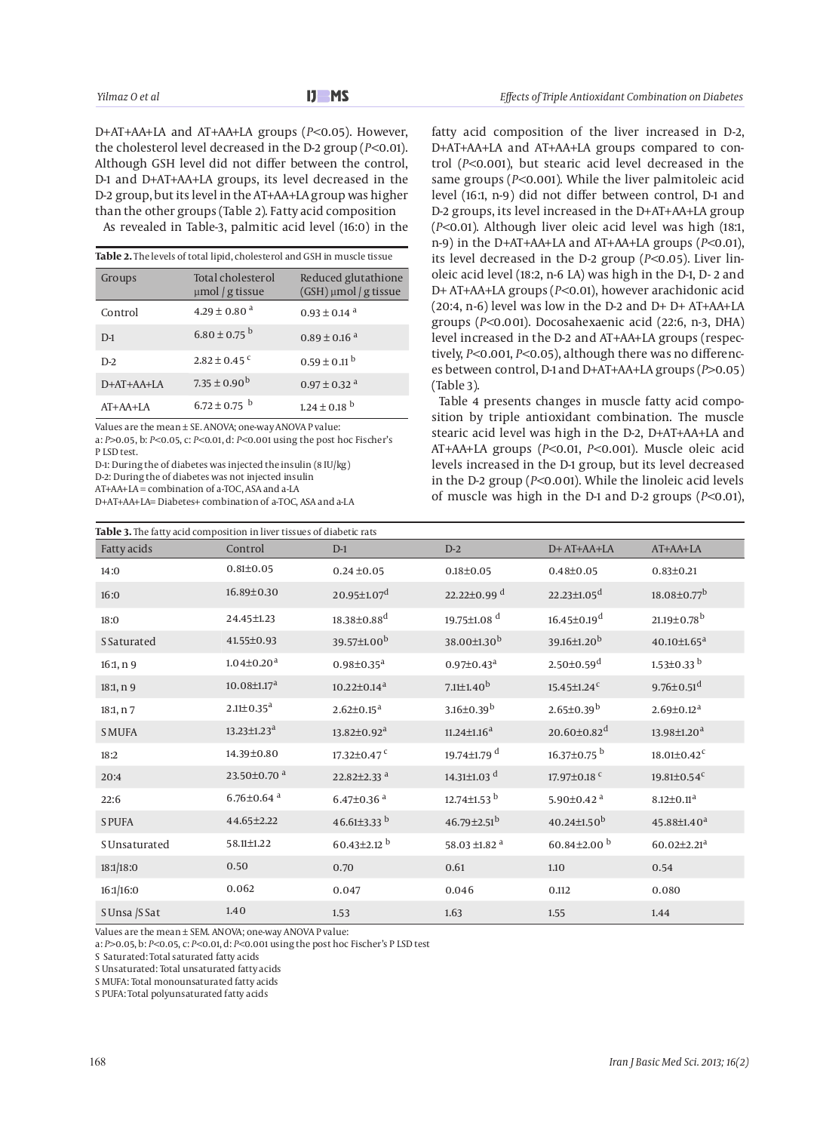D+AT+AA+LA and AT+AA+LA groups (*P<*0.05). However, the cholesterol level decreased in the D-2 group (*P<*0.01). Although GSH level did not differ between the control, D-1 and D+AT+AA+LA groups, its level decreased in the D-2 group, but its level in the AT+AA+LA group was higher than the other groups (Table 2). Fatty acid composition As revealed in Table-3, palmitic acid level (16:0) in the

| Table 2. The levels of total lipid, cholesterol and GSH in muscle tissue |                                           |                                              |  |  |  |
|--------------------------------------------------------------------------|-------------------------------------------|----------------------------------------------|--|--|--|
| Groups                                                                   | Total cholesterol<br>$\mu$ mol / g tissue | Reduced glutathione<br>(GSH) µmol / g tissue |  |  |  |
| Control                                                                  | $4.29 \pm 0.80$ <sup>a</sup>              | $0.93 \pm 0.14$ <sup>a</sup>                 |  |  |  |
| $D-1$                                                                    | $6.80 \pm 0.75$ <sup>b</sup>              | $0.89 \pm 0.16$ <sup>a</sup>                 |  |  |  |
| $D-2$                                                                    | $2.82 \pm 0.45$ <sup>c</sup>              | $0.59 \pm 0.11$ <sup>b</sup>                 |  |  |  |
| $D+AT+AA+LA$                                                             | $7.35 \pm 0.90^{\rm b}$                   | $0.97 \pm 0.32$ <sup>a</sup>                 |  |  |  |
| $AT+AA+LA$                                                               | $6.72 \pm 0.75$ <sup>b</sup>              | $1.24 \pm 0.18$ <sup>b</sup>                 |  |  |  |

Values are the mean ± SE. ANOVA; one-way ANOVA P value:

a: *P>*0.05, b: *P<*0.05, c: *P<*0.01, d: *P<*0.001 using the post hoc Fischer's P LSD test.

D-1: During the of diabetes was injected the insulin (8 IU/kg) D-2: During the of diabetes was not injected insulin

AT+AA+LA = combination of a-TOC, ASA and a-LA

D+AT+AA+LA= Diabetes+ combination of a-TOC, ASA and a-LA

fatty acid composition of the liver increased in D-2, D+AT+AA+LA and AT+AA+LA groups compared to control (*P<*0.001), but stearic acid level decreased in the same groups (*P<*0.001). While the liver palmitoleic acid level (16:1, n-9) did not differ between control, D-1 and D-2 groups, its level increased in the D+AT+AA+LA group (*P<*0.01). Although liver oleic acid level was high (18:1, n-9) in the D+AT+AA+LA and AT+AA+LA groups (*P<*0.01), its level decreased in the D-2 group (*P<*0.05). Liver linoleic acid level (18:2, n-6 LA) was high in the D-1, D- 2 and D+ AT+AA+LA groups (*P<*0.01), however arachidonic acid (20:4, n-6) level was low in the D-2 and D+ D+ AT+AA+LA groups (*P<*0.001). Docosahexaenic acid (22:6, n-3, DHA) level increased in the D-2 and AT+AA+LA groups (respectively, *P<*0.001, *P<*0.05), although there was no differences between control, D-1 and D+AT+AA+LA groups (*P>*0.05) (Table 3).

Table 4 presents changes in muscle fatty acid composition by triple antioxidant combination. The muscle stearic acid level was high in the D-2, D+AT+AA+LA and AT+AA+LA groups (*P<*0.01, *P<*0.001). Muscle oleic acid levels increased in the D-1 group, but its level decreased in the D-2 group (*P<*0.001). While the linoleic acid levels of muscle was high in the D-1 and D-2 groups (*P<*0.01),

| Table 3. The fatty acid composition in liver tissues of diabetic rats |                              |                               |                               |                               |                               |  |
|-----------------------------------------------------------------------|------------------------------|-------------------------------|-------------------------------|-------------------------------|-------------------------------|--|
| Fatty acids                                                           | Control                      | $D-1$                         | $D-2$                         | D+ AT+AA+LA                   | $AT+AA+LA$                    |  |
| 14:0                                                                  | $0.81 \pm 0.05$              | $0.24 \pm 0.05$               | $0.18 \pm 0.05$               | $0.48 + 0.05$                 | $0.83 \pm 0.21$               |  |
| 16:0                                                                  | 16.89±0.30                   | $20.95 \pm 1.07$ <sup>d</sup> | $22.22 \pm 0.99$ <sup>d</sup> | $22.23 \pm 1.05$ <sup>d</sup> | $18.08 \pm 0.77$ <sup>b</sup> |  |
| 18:0                                                                  | 24.45±1.23                   | $18.38 \pm 0.88$ <sup>d</sup> | 19.75±1.08 <sup>d</sup>       | $16.45 \pm 0.19$ <sup>d</sup> | $21.19{\pm}0.78^{\mathrm{b}}$ |  |
| S Saturated                                                           | 41.55±0.93                   | 39.57±1.00 <sup>b</sup>       | 38.00±1.30 <sup>b</sup>       | 39.16±1.20 <sup>b</sup>       | $40.10 \pm 1.65$ <sup>a</sup> |  |
| 16:1, n9                                                              | $1.04 \pm 0.20$ <sup>a</sup> | $0.98 \pm 0.35$ <sup>a</sup>  | $0.97 \pm 0.43^{\text{a}}$    | $2.50 \pm 0.59$ <sup>d</sup>  | $1.53 \pm 0.33$ <sup>b</sup>  |  |
| 18:1, n 9                                                             | $10.08 \pm 1.17^a$           | $10.22 \pm 0.14$ <sup>a</sup> | $7.11{\pm}1.40^b$             | $15.45 \pm 1.24$ <sup>c</sup> | $9.76 \pm 0.51$ <sup>d</sup>  |  |
| 18:1, n 7                                                             | $2.11 \pm 0.35$ <sup>a</sup> | $2.62 \pm 0.15^a$             | $3.16 \pm 0.39^b$             | $2.65 \pm 0.39^b$             | $2.69 \pm 0.12$ <sup>a</sup>  |  |
| <b>S MUFA</b>                                                         | $13.23 \pm 1.23^a$           | $13.82 \pm 0.92^a$            | $11.24 \pm 1.16^a$            | $20.60 \pm 0.82$ <sup>d</sup> | 13.98±1.20 <sup>a</sup>       |  |
| 18:2                                                                  | 14.39±0.80                   | $17.32{\pm}0.47$ $^{\rm c}$   | 19.74±1.79 <sup>d</sup>       | 16.37 $\pm$ 0.75 $^{\rm b}$   | $18.01 \pm 0.42$ <sup>c</sup> |  |
| 20:4                                                                  | 23.50±0.70 <sup>a</sup>      | 22.82 $\pm$ 2.33 $a$          | 14.31±1.03 $d$                | 17.97±0.18 <sup>c</sup>       | 19.81 $\pm$ 0.54 $\text{c}$   |  |
| 22:6                                                                  | $6.76 \pm 0.64$ <sup>a</sup> | $6.47 \pm 0.36$ <sup>a</sup>  | 12.74 $\pm$ 1.53 <sup>b</sup> | 5.90 $\pm$ 0.42 $a$           | $8.12 \pm 0.11$ <sup>a</sup>  |  |
| <b>S PUFA</b>                                                         | 44.65±2.22                   | 46.61±3.33 $^{\rm b}$         | $46.79 \pm 2.51^b$            | $40.24 \pm 1.50^b$            | 45.88±1.40 <sup>a</sup>       |  |
| S Unsaturated                                                         | 58.11±1.22                   | $60.43 \pm 2.12$ <sup>b</sup> | 58.03 ±1.82 $a$               | 60.84±2.00 <sup>b</sup>       | $60.02 \pm 2.21$ <sup>a</sup> |  |
| 18:1/18:0                                                             | 0.50                         | 0.70                          | 0.61                          | 1.10                          | 0.54                          |  |
| 16:1/16:0                                                             | 0.062                        | 0.047                         | 0.046                         | 0.112                         | 0.080                         |  |
| S Unsa /S Sat                                                         | 1.40                         | 1.53                          | 1.63                          | 1.55                          | 1.44                          |  |

Values are the mean ± SEM. ANOVA; one-way ANOVA P value:

a: *P>*0.05, b: *P<*0.05, c: *P<*0.01, d: *P<*0.001 using the post hoc Fischer's P LSD test

S Saturated: Total saturated fatty acids

S Unsaturated: Total unsaturated fatty acids

S MUFA: Total monounsaturated fatty acids

S PUFA: Total polyunsaturated fatty acids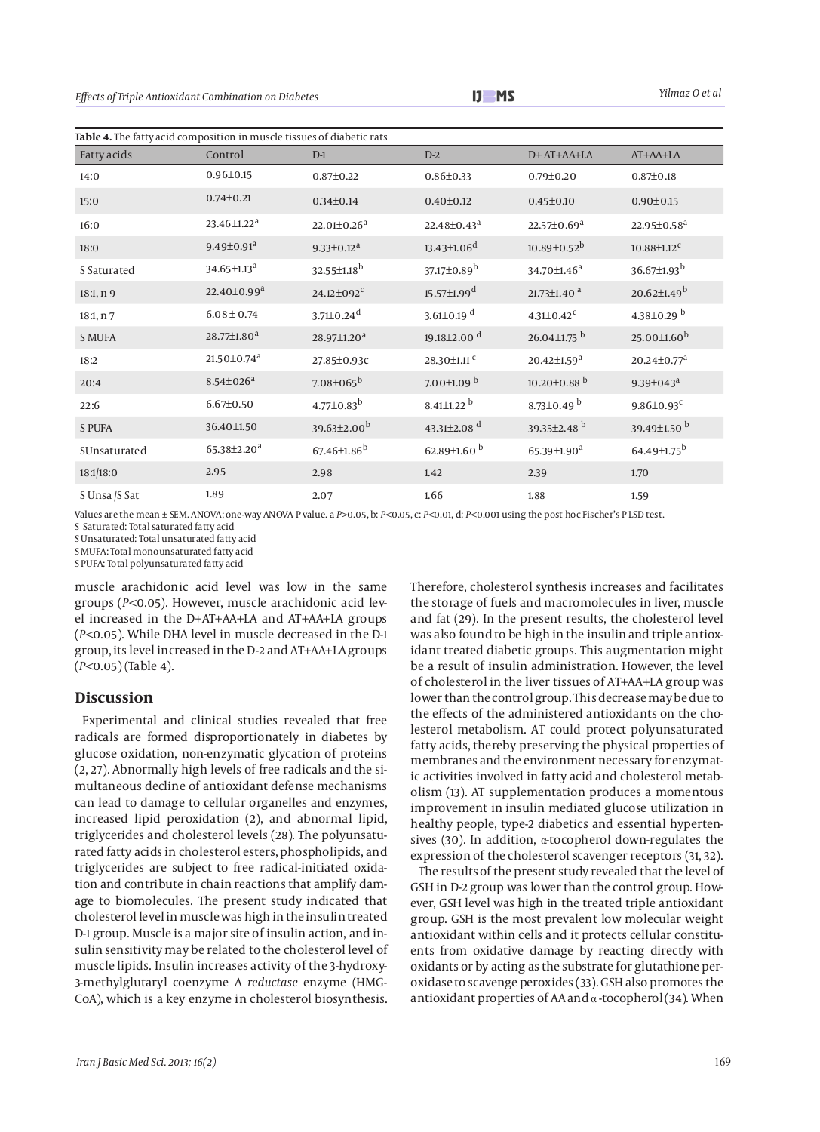| Table 4. The fatty acid composition in muscle tissues of diabetic rats |                               |                               |                               |                               |                               |  |
|------------------------------------------------------------------------|-------------------------------|-------------------------------|-------------------------------|-------------------------------|-------------------------------|--|
| Fatty acids                                                            | Control                       | $D-1$                         | $D-2$                         | D+ AT+AA+LA                   | AT+AA+LA                      |  |
| 14:0                                                                   | $0.96 \pm 0.15$               | $0.87 \pm 0.22$               | $0.86 \pm 0.33$               | $0.79 \pm 0.20$               | $0.87 \pm 0.18$               |  |
| 15:0                                                                   | $0.74 \pm 0.21$               | $0.34 \pm 0.14$               | $0.40 \pm 0.12$               | $0.45 \pm 0.10$               | $0.90 \pm 0.15$               |  |
| 16:0                                                                   | 23.46±1.22 <sup>a</sup>       | $22.01 \pm 0.26$ <sup>a</sup> | $22.48 \pm 0.43^a$            | $22.57 \pm 0.69$ <sup>a</sup> | $22.95 \pm 0.58$ <sup>a</sup> |  |
| 18:0                                                                   | $9.49 \pm 0.91$ <sup>a</sup>  | $9.33 \pm 0.12$ <sup>a</sup>  | $13.43 \pm 1.06$ <sup>d</sup> | $10.89 \pm 0.52^b$            | $10.88 \pm 1.12$ <sup>c</sup> |  |
| S Saturated                                                            | 34.65±1.13 <sup>a</sup>       | 32.55±1.18 <sup>b</sup>       | 37.17±0.89 <sup>b</sup>       | 34.70±1.46 <sup>a</sup>       | 36.67±1.93 <sup>b</sup>       |  |
| 18:1, n9                                                               | $22.40 \pm 0.99$ <sup>a</sup> | $24.12 \pm 092$ <sup>c</sup>  | $15.57 \pm 1.99$ <sup>d</sup> | 21.73 $\pm$ 1.40 <sup>a</sup> | $20.62 \pm 1.49$ <sup>b</sup> |  |
| 18:1, n 7                                                              | $6.08 \pm 0.74$               | $3.71 \pm 0.24$ <sup>d</sup>  | $3.61 \pm 0.19$ <sup>d</sup>  | $4.31 \pm 0.42$ <sup>c</sup>  | 4.38±0.29 $^{\rm b}$          |  |
| <b>S MUFA</b>                                                          | $28.77 \pm 1.80$ <sup>a</sup> | $28.97 \pm 1.20^a$            | 19.18±2.00 <sup>d</sup>       | 26.04±1.75 <sup>b</sup>       | $25.00\pm1.60^b$              |  |
| 18:2                                                                   | $21.50 \pm 0.74$ <sup>a</sup> | 27.85±0.93c                   | 28.30±1.11 <sup>c</sup>       | $20.42 \pm 1.59$ <sup>a</sup> | $20.24 \pm 0.77$ <sup>a</sup> |  |
| 20:4                                                                   | $8.54 \pm 0.26$ <sup>a</sup>  | $7.08 \pm 065^{\rm b}$        | $7.00\pm1.09$ <sup>b</sup>    | $10.20 \pm 0.88$ <sup>b</sup> | $9.39 \pm 0.43$ <sup>a</sup>  |  |
| 22:6                                                                   | $6.67 \pm 0.50$               | $4.77 \pm 0.83^b$             | $8.41 \pm 1.22$ <sup>b</sup>  | 8.73±0.49 $^{\rm b}$          | $9.86{\pm}0.93^{\rm c}$       |  |
| <b>S PUFA</b>                                                          | 36.40±1.50                    | 39.63±2.00 <sup>b</sup>       | 43.31±2.08 <sup>d</sup>       | 39.35±2.48 <sup>b</sup>       | 39.49±1.50 <sup>b</sup>       |  |
| SUnsaturated                                                           | 65.38±2.20 <sup>a</sup>       | $67.46{\pm}1.86^b$            | 62.89 $\pm$ 1.60 <sup>b</sup> | 65.39 $\pm$ 1.90 <sup>a</sup> | $64.49{\pm}1.75^{\rm b}$      |  |
| 18:1/18:0                                                              | 2.95                          | 2.98                          | 1.42                          | 2.39                          | 1.70                          |  |
| S Unsa /S Sat                                                          | 1.89                          | 2.07                          | 1.66                          | 1.88                          | 1.59                          |  |

Values are the mean ± SEM. ANOVA; one-way ANOVA P value. a *P>*0.05, b: *P<*0.05, c: *P<*0.01, d: *P<*0.001 using the post hoc Fischer's P LSD test.

S Saturated: Total saturated fatty acid

S Unsaturated: Total unsaturated fatty acid

S MUFA: Total monounsaturated fatty acid

S PUFA: Total polyunsaturated fatty acid

muscle arachidonic acid level was low in the same groups (*P<*0.05). However, muscle arachidonic acid level increased in the D+AT+AA+LA and AT+AA+LA groups (*P<*0.05). While DHA level in muscle decreased in the D-1 group, its level increased in the D-2 and AT+AA+LA groups (*P<*0.05) (Table 4).

#### **Discussion**

Experimental and clinical studies revealed that free radicals are formed disproportionately in diabetes by glucose oxidation, non-enzymatic glycation of proteins (2, 27). Abnormally high levels of free radicals and the simultaneous decline of antioxidant defense mechanisms can lead to damage to cellular organelles and enzymes, increased lipid peroxidation (2), and abnormal lipid, triglycerides and cholesterol levels (28). The polyunsaturated fatty acids in cholesterol esters, phospholipids, and triglycerides are subject to free radical-initiated oxidation and contribute in chain reactions that amplify damage to biomolecules. The present study indicated that cholesterol level in muscle was high in the insulin treated D-1 group. Muscle is a major site of insulin action, and insulin sensitivity may be related to the cholesterol level of muscle lipids. Insulin increases activity of the 3-hydroxy-3-methylglutaryl coenzyme A *reductase* enzyme (HMG-CoA), which is a key enzyme in cholesterol biosynthesis.

Therefore, cholesterol synthesis increases and facilitates the storage of fuels and macromolecules in liver, muscle and fat (29). In the present results, the cholesterol level was also found to be high in the insulin and triple antioxidant treated diabetic groups. This augmentation might be a result of insulin administration. However, the level of cholesterol in the liver tissues of AT+AA+LA group was lower than the control group. This decrease may be due to the effects of the administered antioxidants on the cholesterol metabolism. AT could protect polyunsaturated fatty acids, thereby preserving the physical properties of membranes and the environment necessary for enzymatic activities involved in fatty acid and cholesterol metabolism (13). AT supplementation produces a momentous improvement in insulin mediated glucose utilization in healthy people, type-2 diabetics and essential hypertensives (30). In addition, α-tocopherol down-regulates the expression of the cholesterol scavenger receptors (31, 32).

The results of the present study revealed that the level of GSH in D-2 group was lower than the control group. However, GSH level was high in the treated triple antioxidant group. GSH is the most prevalent low molecular weight antioxidant within cells and it protects cellular constituents from oxidative damage by reacting directly with oxidants or by acting as the substrate for glutathione peroxidase to scavenge peroxides (33). GSH also promotes the antioxidant properties of AA and  $\alpha$ -tocopherol (34). When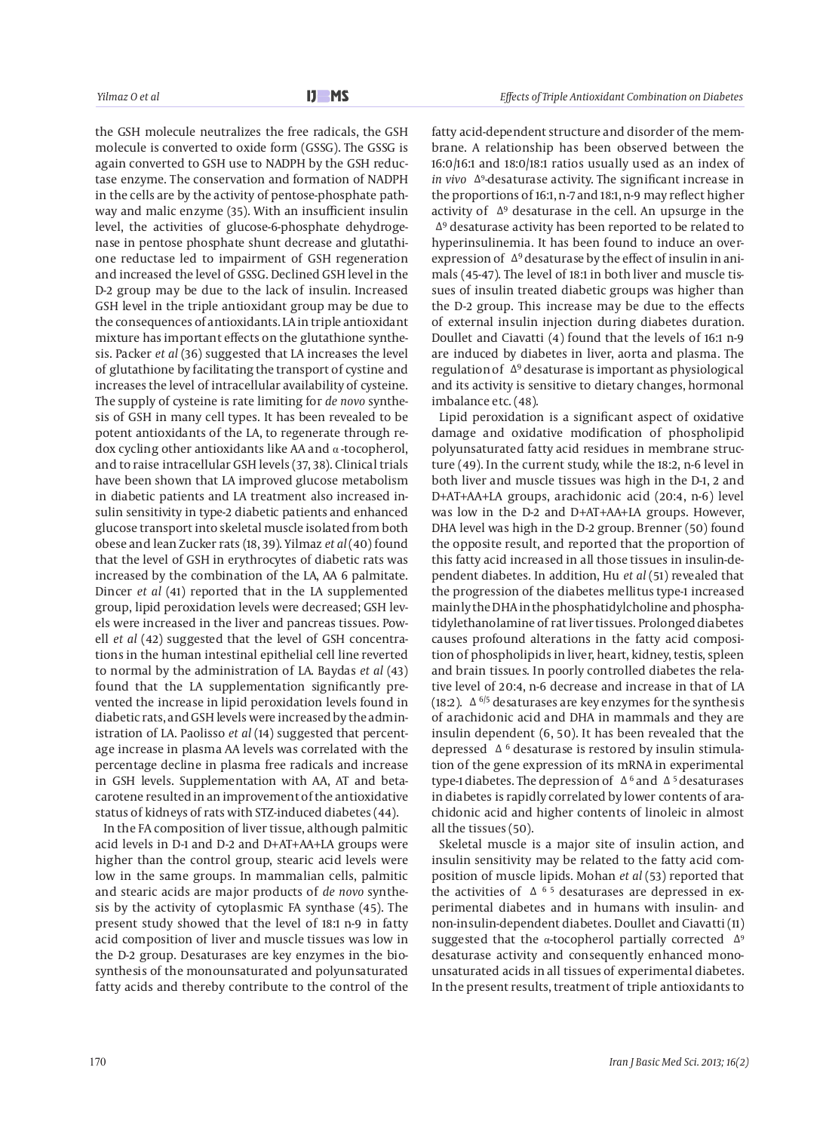the GSH molecule neutralizes the free radicals, the GSH molecule is converted to oxide form (GSSG). The GSSG is again converted to GSH use to NADPH by the GSH reductase enzyme. The conservation and formation of NADPH in the cells are by the activity of pentose-phosphate pathway and malic enzyme (35). With an insufficient insulin level, the activities of glucose-6-phosphate dehydrogenase in pentose phosphate shunt decrease and glutathione reductase led to impairment of GSH regeneration and increased the level of GSSG. Declined GSH level in the D-2 group may be due to the lack of insulin. Increased GSH level in the triple antioxidant group may be due to the consequences of antioxidants. LA in triple antioxidant mixture has important effects on the glutathione synthesis. Packer *et al* (36) suggested that LA increases the level of glutathione by facilitating the transport of cystine and increases the level of intracellular availability of cysteine. The supply of cysteine is rate limiting for *de novo* synthesis of GSH in many cell types. It has been revealed to be potent antioxidants of the LA, to regenerate through redox cycling other antioxidants like AA and α -tocopherol, and to raise intracellular GSH levels (37, 38). Clinical trials have been shown that LA improved glucose metabolism in diabetic patients and LA treatment also increased insulin sensitivity in type-2 diabetic patients and enhanced glucose transport into skeletal muscle isolated from both obese and lean Zucker rats (18, 39). Yilmaz *et al* (40) found that the level of GSH in erythrocytes of diabetic rats was increased by the combination of the LA, AA 6 palmitate. Dincer *et al* (41) reported that in the LA supplemented group, lipid peroxidation levels were decreased; GSH levels were increased in the liver and pancreas tissues. Powell *et al* (42) suggested that the level of GSH concentrations in the human intestinal epithelial cell line reverted to normal by the administration of LA. Baydas *et al* (43) found that the LA supplementation significantly prevented the increase in lipid peroxidation levels found in diabetic rats, and GSH levels were increased by the administration of LA. Paolisso *et al* (14) suggested that percentage increase in plasma AA levels was correlated with the percentage decline in plasma free radicals and increase in GSH levels. Supplementation with AA, AT and betacarotene resulted in an improvement of the antioxidative status of kidneys of rats with STZ-induced diabetes (44).

In the FA composition of liver tissue, although palmitic acid levels in D-1 and D-2 and D+AT+AA+LA groups were higher than the control group, stearic acid levels were low in the same groups. In mammalian cells, palmitic and stearic acids are major products of *de novo* synthesis by the activity of cytoplasmic FA synthase (45). The present study showed that the level of 18:1 n-9 in fatty acid composition of liver and muscle tissues was low in the D-2 group. Desaturases are key enzymes in the biosynthesis of the monounsaturated and polyunsaturated fatty acids and thereby contribute to the control of the fatty acid-dependent structure and disorder of the membrane. A relationship has been observed between the 16:0/16:1 and 18:0/18:1 ratios usually used as an index of *in vivo* Δ9 -desaturase activity. The significant increase in the proportions of 16:1, n-7 and 18:1, n-9 may reflect higher activity of  $\Delta^9$  desaturase in the cell. An upsurge in the Δ9 desaturase activity has been reported to be related to hyperinsulinemia. It has been found to induce an overexpression of Δ9 desaturase by the effect of insulin in animals (45-47). The level of 18:1 in both liver and muscle tissues of insulin treated diabetic groups was higher than the D-2 group. This increase may be due to the effects of external insulin injection during diabetes duration. Doullet and Ciavatti (4) found that the levels of 16:1 n-9 are induced by diabetes in liver, aorta and plasma. The regulation of Δ9 desaturase is important as physiological and its activity is sensitive to dietary changes, hormonal imbalance etc. (48).

Lipid peroxidation is a significant aspect of oxidative damage and oxidative modification of phospholipid polyunsaturated fatty acid residues in membrane structure (49). In the current study, while the 18:2, n-6 level in both liver and muscle tissues was high in the D-1, 2 and D+AT+AA+LA groups, arachidonic acid (20:4, n-6) level was low in the D-2 and D+AT+AA+LA groups. However, DHA level was high in the D-2 group. Brenner (50) found the opposite result, and reported that the proportion of this fatty acid increased in all those tissues in insulin-dependent diabetes. In addition, Hu *et al* (51) revealed that the progression of the diabetes mellitus type-1 increased mainly the DHA in the phosphatidylcholine and phosphatidylethanolamine of rat liver tissues. Prolonged diabetes causes profound alterations in the fatty acid composition of phospholipids in liver, heart, kidney, testis, spleen and brain tissues. In poorly controlled diabetes the relative level of 20:4, n-6 decrease and increase in that of LA (18:2).  $\Delta$  <sup>6/5</sup> desaturases are key enzymes for the synthesis of arachidonic acid and DHA in mammals and they are insulin dependent (6, 50). It has been revealed that the depressed  $\Delta$ <sup>6</sup> desaturase is restored by insulin stimulation of the gene expression of its mRNA in experimental type-1 diabetes. The depression of  $\Delta^6$  and  $\Delta^5$  desaturases in diabetes is rapidly correlated by lower contents of arachidonic acid and higher contents of linoleic in almost all the tissues (50).

Skeletal muscle is a major site of insulin action, and insulin sensitivity may be related to the fatty acid composition of muscle lipids. Mohan *et al* (53) reported that the activities of  $\Delta$ <sup>65</sup> desaturases are depressed in experimental diabetes and in humans with insulin- and non-insulin-dependent diabetes. Doullet and Ciavatti (11) suggested that the  $\alpha$ -tocopherol partially corrected  $\Delta^9$ desaturase activity and consequently enhanced monounsaturated acids in all tissues of experimental diabetes. In the present results, treatment of triple antioxidants to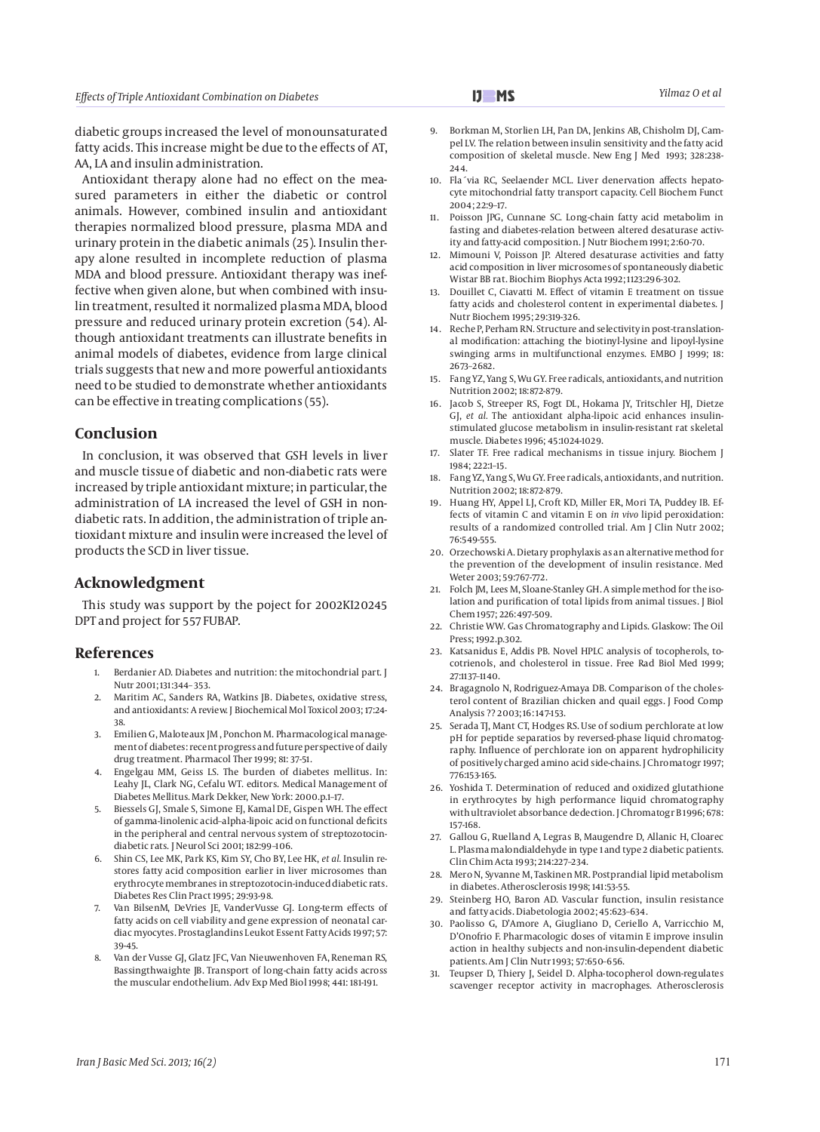*Effects of Triple Antioxidant Combination on Diabetes Yilmaz O et al*

diabetic groups increased the level of monounsaturated fatty acids. This increase might be due to the effects of AT, AA, LA and insulin administration.

Antioxidant therapy alone had no effect on the measured parameters in either the diabetic or control animals. However, combined insulin and antioxidant therapies normalized blood pressure, plasma MDA and urinary protein in the diabetic animals (25). Insulin therapy alone resulted in incomplete reduction of plasma MDA and blood pressure. Antioxidant therapy was ineffective when given alone, but when combined with insulin treatment, resulted it normalized plasma MDA, blood pressure and reduced urinary protein excretion (54). Although antioxidant treatments can illustrate benefits in animal models of diabetes, evidence from large clinical trials suggests that new and more powerful antioxidants need to be studied to demonstrate whether antioxidants can be effective in treating complications (55).

## **Conclusion**

In conclusion, it was observed that GSH levels in liver and muscle tissue of diabetic and non-diabetic rats were increased by triple antioxidant mixture; in particular, the administration of LA increased the level of GSH in nondiabetic rats. In addition, the administration of triple antioxidant mixture and insulin were increased the level of products the SCD in liver tissue.

## **Acknowledgment**

This study was support by the poject for 2002KI20245 DPT and project for 557 FUBAP.

## **References**

- 1. Berdanier AD. Diabetes and nutrition: the mitochondrial part. J Nutr 2001; 131:344– 353.
- 2. Maritim AC, Sanders RA, Watkins JB. Diabetes, oxidative stress, and antioxidants: A review. J Biochemical Mol Toxicol 2003; 17:24- 38.
- 3. Emilien G, Maloteaux JM , Ponchon M. Pharmacological management of diabetes: recent progress and future perspective of daily drug treatment. Pharmacol Ther 1999; 81: 37-51.
- 4. Engelgau MM, Geiss LS. The burden of diabetes mellitus. In: Leahy JL, Clark NG, Cefalu WT. editors. Medical Management of Diabetes Mellitus. Mark Dekker, New York: 2000.p.1–17.
- 5. Biessels GJ, Smale S, Simone EJ, Kamal DE, Gispen WH. The effect of gamma-linolenic acid–alpha-lipoic acid on functional deficits in the peripheral and central nervous system of streptozotocindiabetic rats. J Neurol Sci 2001; 182:99–106.
- 6. Shin CS, Lee MK, Park KS, Kim SY, Cho BY, Lee HK, *et al.* Insulin restores fatty acid composition earlier in liver microsomes than erythrocyte membranes in streptozotocin-induced diabetic rats. Diabetes Res Clin Pract 1995; 29:93-98.
- 7. Van BilsenM, DeVries JE, VanderVusse GJ. Long-term effects of fatty acids on cell viability and gene expression of neonatal cardiac myocytes. Prostaglandins Leukot Essent Fatty Acids 1997; 57: 39-45.
- Van der Vusse GJ, Glatz JFC, Van Nieuwenhoven FA, Reneman RS, Bassingthwaighte JB. Transport of long-chain fatty acids across the muscular endothelium. Adv Exp Med Biol 1998; 441: 181-191.
- 9. Borkman M, Storlien LH, Pan DA, Jenkins AB, Chisholm DJ, Campel LV. The relation between insulin sensitivity and the fatty acid composition of skeletal muscle. New Eng J Med 1993; 328:238- 244
- 10. Fla´via RC, Seelaender MCL. Liver denervation affects hepatocyte mitochondrial fatty transport capacity. Cell Biochem Funct 2004; 22:9–17.
- 11. Poisson JPG, Cunnane SC. Long-chain fatty acid metabolim in fasting and diabetes-relation between altered desaturase activity and fatty-acid composition. J Nutr Biochem 1991; 2:60-70.
- 12. Mimouni V, Poisson JP. Altered desaturase activities and fatty acid composition in liver microsomes of spontaneously diabetic Wistar BB rat. Biochim Biophys Acta 1992; 1123:296-302.
- 13. Douillet C, Ciavatti M. Effect of vitamin E treatment on tissue fatty acids and cholesterol content in experimental diabetes. J Nutr Biochem 1995; 29:319-326.
- 14. Reche P, Perham RN. Structure and selectivity in post-translational modification: attaching the biotinyl-lysine and lipoyl-lysine swinging arms in multifunctional enzymes. EMBO J 1999; 18: 2673–2682.
- 15. Fang YZ, Yang S, Wu GY. Free radicals, antioxidants, and nutrition Nutrition 2002; 18:872-879.
- 16. Jacob S, Streeper RS, Fogt DL, Hokama JY, Tritschler HJ, Dietze GJ, *et al.* The antioxidant alpha-lipoic acid enhances insulinstimulated glucose metabolism in insulin-resistant rat skeletal muscle. Diabetes 1996; 45:1024-1029.
- 17. Slater TF. Free radical mechanisms in tissue injury. Biochem J 1984; 222:1–15.
- 18. Fang YZ, Yang S, Wu GY. Free radicals, antioxidants, and nutrition. Nutrition 2002; 18:872-879.
- 19. Huang HY, Appel LJ, Croft KD, Miller ER, Mori TA, Puddey IB. Effects of vitamin C and vitamin E on *in vivo* lipid peroxidation: results of a randomized controlled trial. Am J Clin Nutr 2002; 76:549-555.
- 20. Orzechowski A. Dietary prophylaxis as an alternative method for the prevention of the development of insulin resistance. Med Weter 2003; 59:767-772.
- 21. Folch JM, Lees M, Sloane-Stanley GH. A simple method for the isolation and purification of total lipids from animal tissues. J Biol Chem 1957; 226:497-509.
- 22. Christie WW. Gas Chromatography and Lipids. Glaskow: The Oil Press; 1992.p.302.
- 23. Katsanidus E, Addis PB. Novel HPLC analysis of tocopherols, tocotrienols, and cholesterol in tissue. Free Rad Biol Med 1999; 27:1137–1140.
- 24. Bragagnolo N, Rodriguez-Amaya DB. Comparison of the cholesterol content of Brazilian chicken and quail eggs. J Food Comp Analysis ?? 2003; 16: 147-153.
- 25. Serada TJ, Mant CT, Hodges RS. Use of sodium perchlorate at low pH for peptide separatios by reversed-phase liquid chromatography. Influence of perchlorate ion on apparent hydrophilicity of positively charged amino acid side-chains. J Chromatogr 1997; 776:153-165.
- 26. Yoshida T. Determination of reduced and oxidized glutathione in erythrocytes by high performance liquid chromatography with ultraviolet absorbance dedection. J Chromatogr B 1996; 678: 157-168.
- 27. Gallou G, Ruelland A, Legras B, Maugendre D, Allanic H, Cloarec L. Plasma malondialdehyde in type 1 and type 2 diabetic patients. Clin Chim Acta 1993; 214:227–234.
- 28. Mero N, Syvanne M, Taskinen MR. Postprandial lipid metabolism in diabetes. Atherosclerosis 1998; 141:53-55.
- 29. Steinberg HO, Baron AD. Vascular function, insulin resistance and fatty acids. Diabetologia 2002; 45:623–634.
- 30. Paolisso G, D'Amore A, Giugliano D, Ceriello A, Varricchio M, D'Onofrio F. Pharmacologic doses of vitamin E improve insulin action in healthy subjects and non-insulin-dependent diabetic patients. Am J Clin Nutr 1993; 57:650–656.
- Teupser D, Thiery J, Seidel D. Alpha-tocopherol down-regulates scavenger receptor activity in macrophages. Atherosclerosis